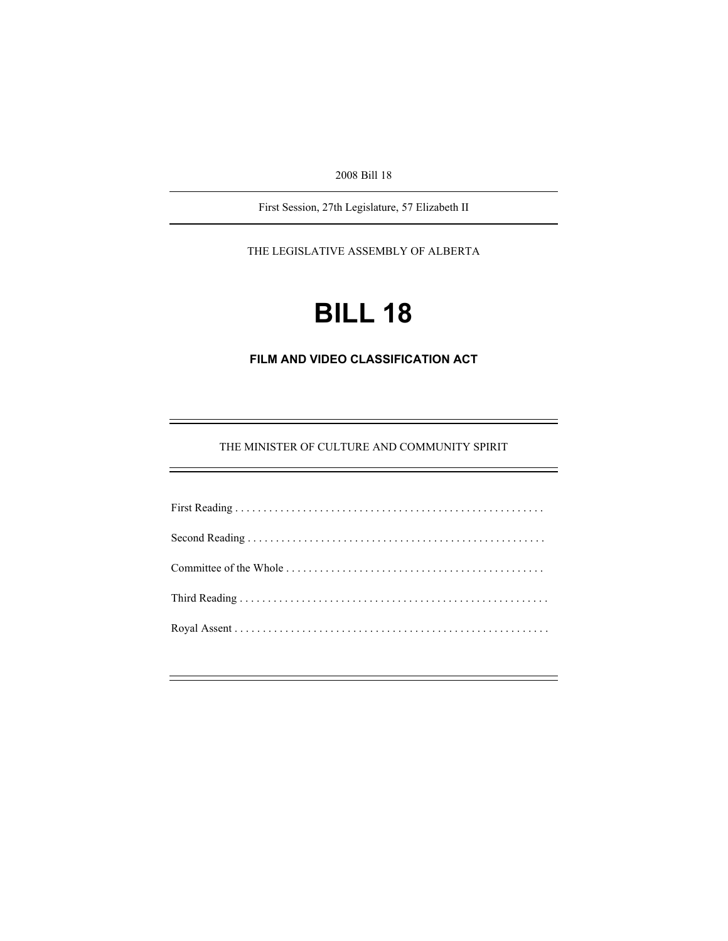2008 Bill 18

First Session, 27th Legislature, 57 Elizabeth II

THE LEGISLATIVE ASSEMBLY OF ALBERTA

# **BILL 18**

**FILM AND VIDEO CLASSIFICATION ACT** 

THE MINISTER OF CULTURE AND COMMUNITY SPIRIT

e<br>H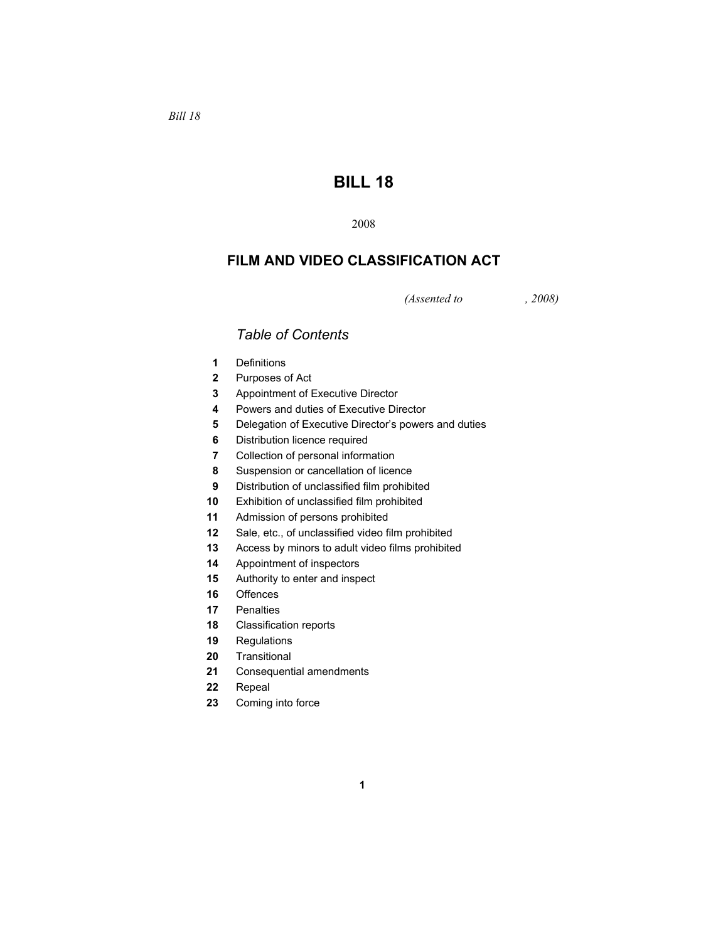# **BILL 18**

# **FILM AND VIDEO CLASSIFICATION ACT**

*(Assented to , 2008)* 

# *Table of Contents*

- Definitions
- Purposes of Act
- Appointment of Executive Director
- Powers and duties of Executive Director
- Delegation of Executive Director's powers and duties
- Distribution licence required
- Collection of personal information
- Suspension or cancellation of licence
- Distribution of unclassified film prohibited
- Exhibition of unclassified film prohibited
- Admission of persons prohibited
- Sale, etc., of unclassified video film prohibited
- Access by minors to adult video films prohibited
- Appointment of inspectors
- Authority to enter and inspect
- Offences
- Penalties
- Classification reports
- Regulations
- Transitional
- Consequential amendments
- Repeal
- Coming into force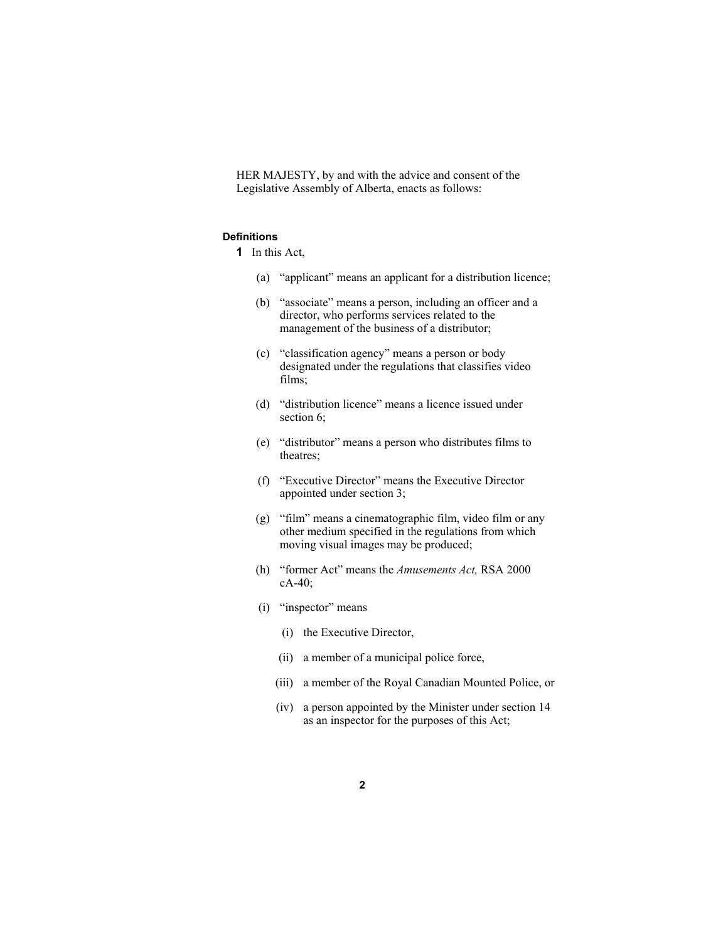HER MAJESTY, by and with the advice and consent of the Legislative Assembly of Alberta, enacts as follows:

# **Definitions**

- **1** In this Act,
	- (a) "applicant" means an applicant for a distribution licence;
	- (b) "associate" means a person, including an officer and a director, who performs services related to the management of the business of a distributor;
	- (c) "classification agency" means a person or body designated under the regulations that classifies video films;
	- (d) "distribution licence" means a licence issued under section 6;
	- (e) "distributor" means a person who distributes films to theatres;
	- (f) "Executive Director" means the Executive Director appointed under section 3;
	- (g) "film" means a cinematographic film, video film or any other medium specified in the regulations from which moving visual images may be produced;
	- (h) "former Act" means the *Amusements Act,* RSA 2000 cA-40;
	- (i) "inspector" means
		- (i) the Executive Director,
		- (ii) a member of a municipal police force,
		- (iii) a member of the Royal Canadian Mounted Police, or
		- (iv) a person appointed by the Minister under section 14 as an inspector for the purposes of this Act;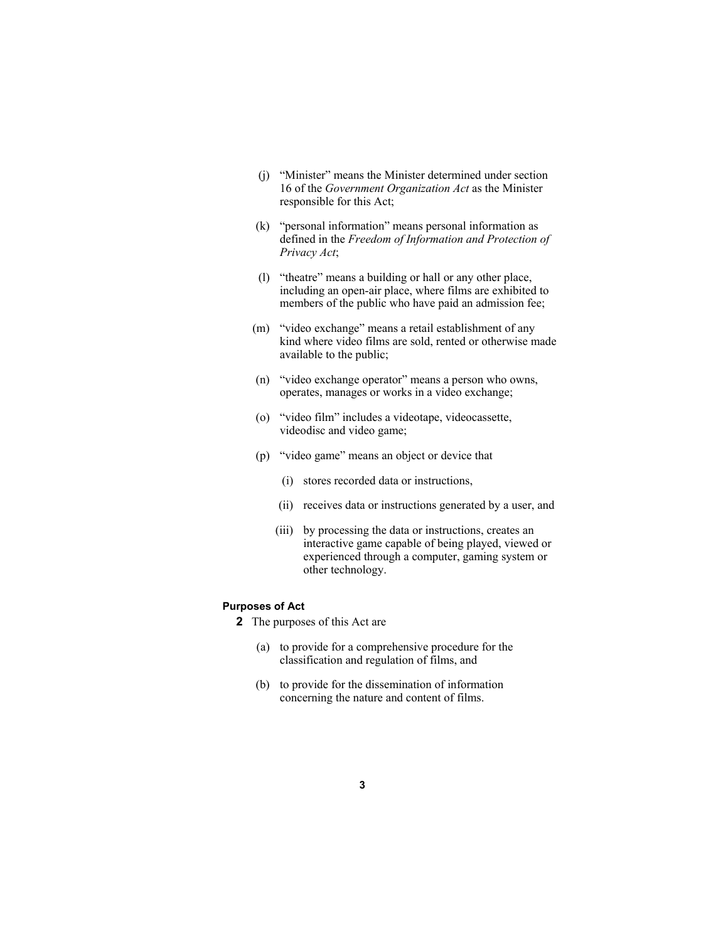- (j) "Minister" means the Minister determined under section 16 of the *Government Organization Act* as the Minister responsible for this Act;
- (k) "personal information" means personal information as defined in the *Freedom of Information and Protection of Privacy Act*;
- (l) "theatre" means a building or hall or any other place, including an open-air place, where films are exhibited to members of the public who have paid an admission fee;
- (m) "video exchange" means a retail establishment of any kind where video films are sold, rented or otherwise made available to the public;
- (n) "video exchange operator" means a person who owns, operates, manages or works in a video exchange;
- (o) "video film" includes a videotape, videocassette, videodisc and video game;
- (p) "video game" means an object or device that
	- (i) stores recorded data or instructions,
	- (ii) receives data or instructions generated by a user, and
	- (iii) by processing the data or instructions, creates an interactive game capable of being played, viewed or experienced through a computer, gaming system or other technology.

# **Purposes of Act**

**2** The purposes of this Act are

- (a) to provide for a comprehensive procedure for the classification and regulation of films, and
- (b) to provide for the dissemination of information concerning the nature and content of films.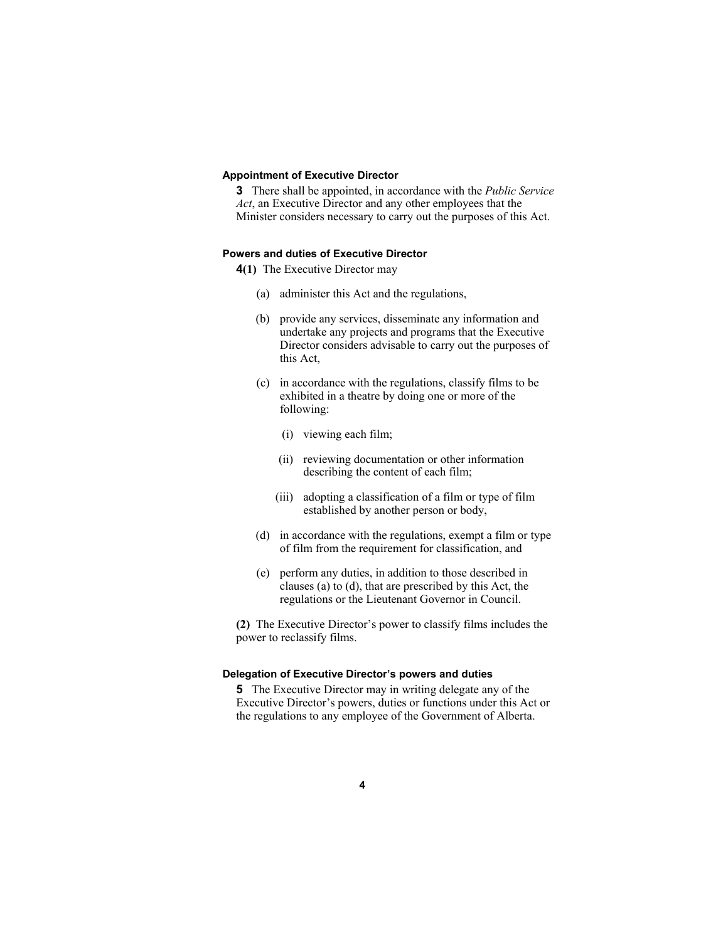# **Appointment of Executive Director**

**3** There shall be appointed, in accordance with the *Public Service Act*, an Executive Director and any other employees that the Minister considers necessary to carry out the purposes of this Act.

## **Powers and duties of Executive Director**

**4(1)** The Executive Director may

- (a) administer this Act and the regulations,
- (b) provide any services, disseminate any information and undertake any projects and programs that the Executive Director considers advisable to carry out the purposes of this Act,
- (c) in accordance with the regulations, classify films to be exhibited in a theatre by doing one or more of the following:
	- (i) viewing each film;
	- (ii) reviewing documentation or other information describing the content of each film;
	- (iii) adopting a classification of a film or type of film established by another person or body,
- (d) in accordance with the regulations, exempt a film or type of film from the requirement for classification, and
- (e) perform any duties, in addition to those described in clauses (a) to (d), that are prescribed by this Act, the regulations or the Lieutenant Governor in Council.

**(2)** The Executive Director's power to classify films includes the power to reclassify films.

## **Delegation of Executive Director's powers and duties**

**5** The Executive Director may in writing delegate any of the Executive Director's powers, duties or functions under this Act or the regulations to any employee of the Government of Alberta.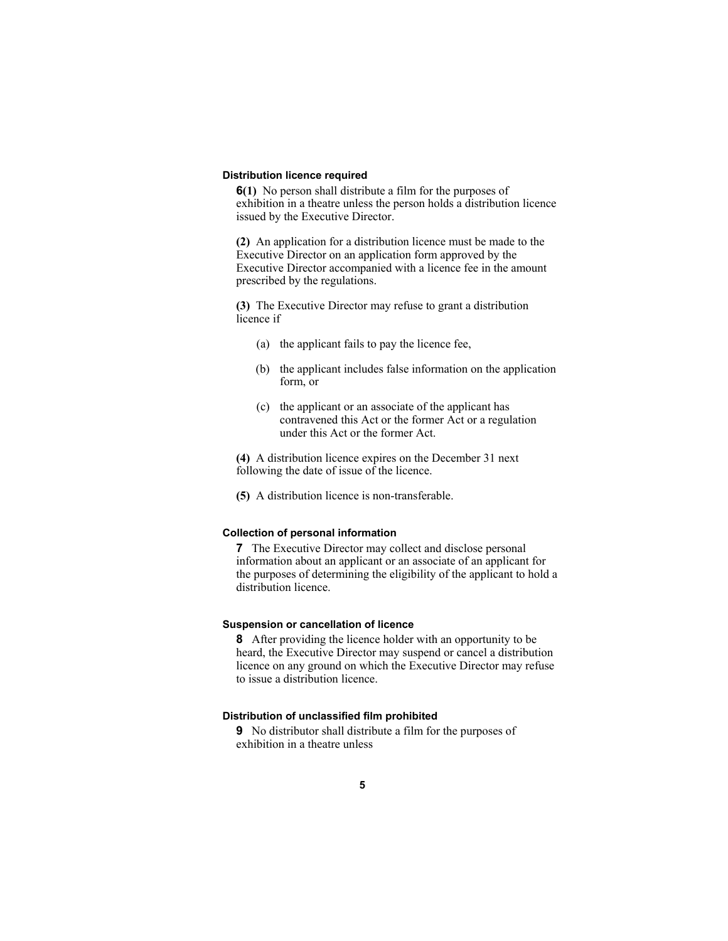# **Distribution licence required**

**6(1)** No person shall distribute a film for the purposes of exhibition in a theatre unless the person holds a distribution licence issued by the Executive Director.

**(2)** An application for a distribution licence must be made to the Executive Director on an application form approved by the Executive Director accompanied with a licence fee in the amount prescribed by the regulations.

**(3)** The Executive Director may refuse to grant a distribution licence if

- (a) the applicant fails to pay the licence fee,
- (b) the applicant includes false information on the application form, or
- (c) the applicant or an associate of the applicant has contravened this Act or the former Act or a regulation under this Act or the former Act.

**(4)** A distribution licence expires on the December 31 next following the date of issue of the licence.

**(5)** A distribution licence is non-transferable.

# **Collection of personal information**

**7** The Executive Director may collect and disclose personal information about an applicant or an associate of an applicant for the purposes of determining the eligibility of the applicant to hold a distribution licence.

# **Suspension or cancellation of licence**

**8** After providing the licence holder with an opportunity to be heard, the Executive Director may suspend or cancel a distribution licence on any ground on which the Executive Director may refuse to issue a distribution licence.

## **Distribution of unclassified film prohibited**

**9** No distributor shall distribute a film for the purposes of exhibition in a theatre unless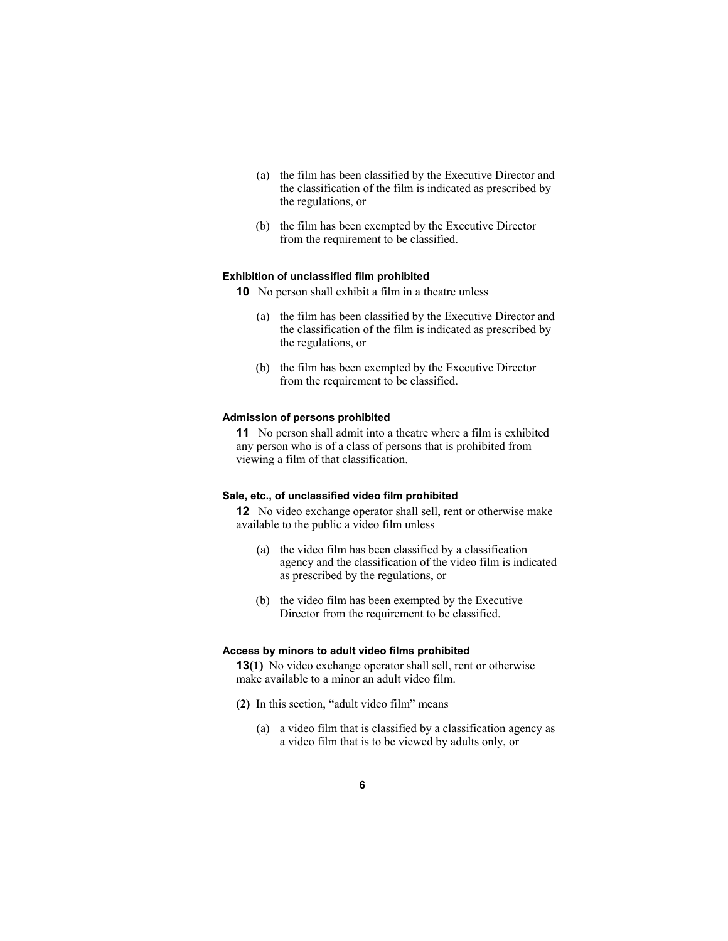- (a) the film has been classified by the Executive Director and the classification of the film is indicated as prescribed by the regulations, or
- (b) the film has been exempted by the Executive Director from the requirement to be classified.

## **Exhibition of unclassified film prohibited**

- **10** No person shall exhibit a film in a theatre unless
	- (a) the film has been classified by the Executive Director and the classification of the film is indicated as prescribed by the regulations, or
	- (b) the film has been exempted by the Executive Director from the requirement to be classified.

# **Admission of persons prohibited**

**11** No person shall admit into a theatre where a film is exhibited any person who is of a class of persons that is prohibited from viewing a film of that classification.

# **Sale, etc., of unclassified video film prohibited**

**12** No video exchange operator shall sell, rent or otherwise make available to the public a video film unless

- (a) the video film has been classified by a classification agency and the classification of the video film is indicated as prescribed by the regulations, or
- (b) the video film has been exempted by the Executive Director from the requirement to be classified.

#### **Access by minors to adult video films prohibited**

**13(1)** No video exchange operator shall sell, rent or otherwise make available to a minor an adult video film.

- **(2)** In this section, "adult video film" means
	- (a) a video film that is classified by a classification agency as a video film that is to be viewed by adults only, or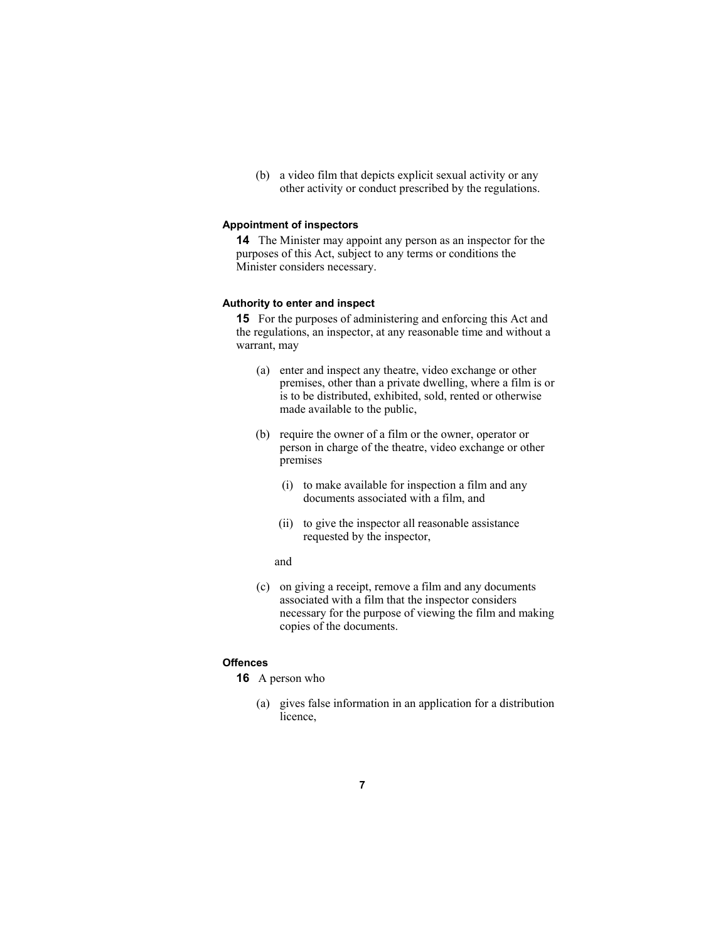(b) a video film that depicts explicit sexual activity or any other activity or conduct prescribed by the regulations.

# **Appointment of inspectors**

**14** The Minister may appoint any person as an inspector for the purposes of this Act, subject to any terms or conditions the Minister considers necessary.

## **Authority to enter and inspect**

**15** For the purposes of administering and enforcing this Act and the regulations, an inspector, at any reasonable time and without a warrant, may

- (a) enter and inspect any theatre, video exchange or other premises, other than a private dwelling, where a film is or is to be distributed, exhibited, sold, rented or otherwise made available to the public,
- (b) require the owner of a film or the owner, operator or person in charge of the theatre, video exchange or other premises
	- (i) to make available for inspection a film and any documents associated with a film, and
	- (ii) to give the inspector all reasonable assistance requested by the inspector,
	- and
- (c) on giving a receipt, remove a film and any documents associated with a film that the inspector considers necessary for the purpose of viewing the film and making copies of the documents.

# **Offences**

- **16** A person who
	- (a) gives false information in an application for a distribution licence,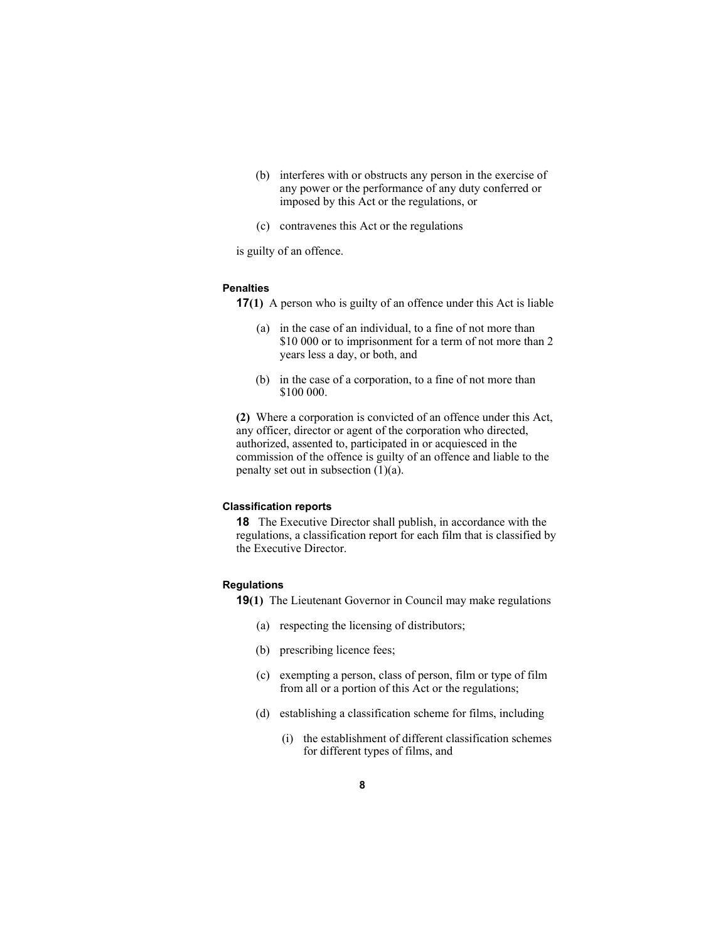- (b) interferes with or obstructs any person in the exercise of any power or the performance of any duty conferred or imposed by this Act or the regulations, or
- (c) contravenes this Act or the regulations

is guilty of an offence.

# **Penalties**

**17(1)** A person who is guilty of an offence under this Act is liable

- (a) in the case of an individual, to a fine of not more than \$10 000 or to imprisonment for a term of not more than 2 years less a day, or both, and
- (b) in the case of a corporation, to a fine of not more than \$100 000.

**(2)** Where a corporation is convicted of an offence under this Act, any officer, director or agent of the corporation who directed, authorized, assented to, participated in or acquiesced in the commission of the offence is guilty of an offence and liable to the penalty set out in subsection  $(1)(a)$ .

# **Classification reports**

**18** The Executive Director shall publish, in accordance with the regulations, a classification report for each film that is classified by the Executive Director.

## **Regulations**

**19(1)** The Lieutenant Governor in Council may make regulations

- (a) respecting the licensing of distributors;
- (b) prescribing licence fees;
- (c) exempting a person, class of person, film or type of film from all or a portion of this Act or the regulations;
- (d) establishing a classification scheme for films, including
	- (i) the establishment of different classification schemes for different types of films, and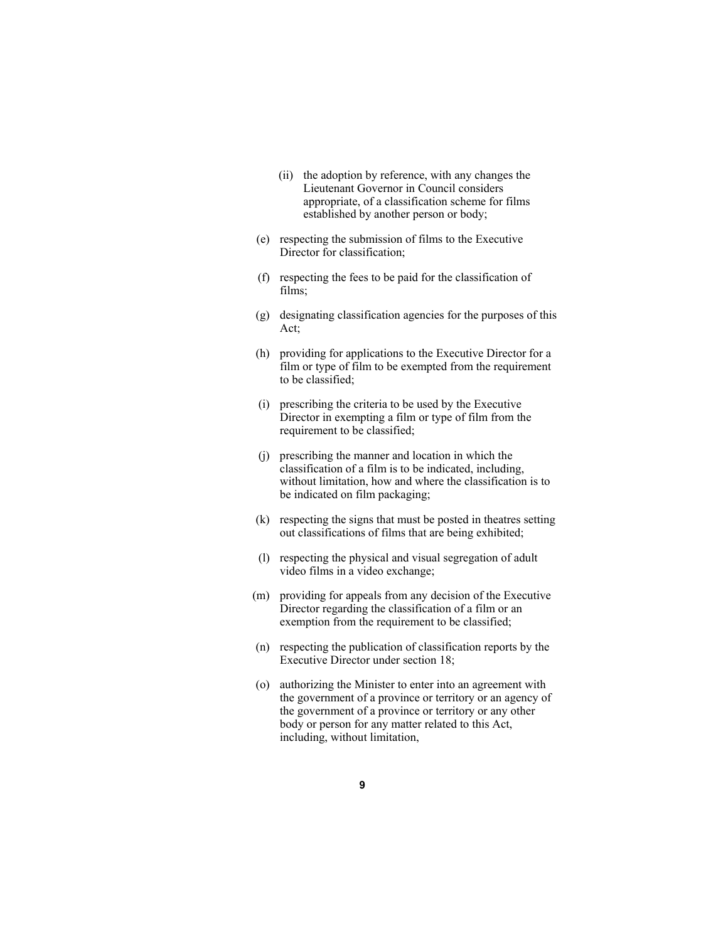- (ii) the adoption by reference, with any changes the Lieutenant Governor in Council considers appropriate, of a classification scheme for films established by another person or body;
- (e) respecting the submission of films to the Executive Director for classification;
- (f) respecting the fees to be paid for the classification of films;
- (g) designating classification agencies for the purposes of this Act;
- (h) providing for applications to the Executive Director for a film or type of film to be exempted from the requirement to be classified;
- (i) prescribing the criteria to be used by the Executive Director in exempting a film or type of film from the requirement to be classified;
- (j) prescribing the manner and location in which the classification of a film is to be indicated, including, without limitation, how and where the classification is to be indicated on film packaging;
- (k) respecting the signs that must be posted in theatres setting out classifications of films that are being exhibited;
- (l) respecting the physical and visual segregation of adult video films in a video exchange;
- (m) providing for appeals from any decision of the Executive Director regarding the classification of a film or an exemption from the requirement to be classified;
- (n) respecting the publication of classification reports by the Executive Director under section 18;
- (o) authorizing the Minister to enter into an agreement with the government of a province or territory or an agency of the government of a province or territory or any other body or person for any matter related to this Act, including, without limitation,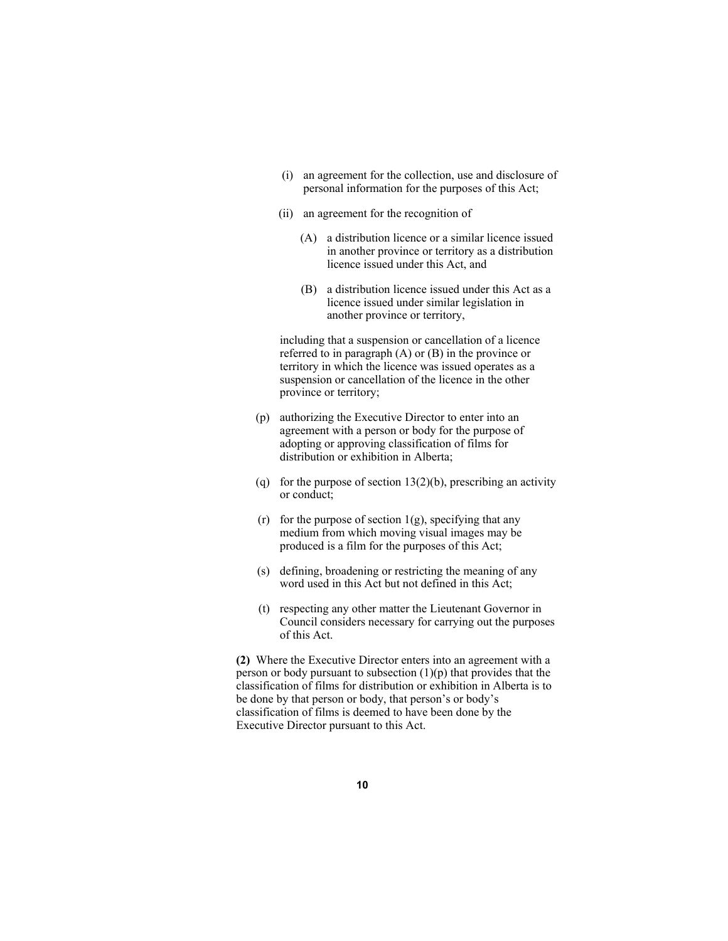- (i) an agreement for the collection, use and disclosure of personal information for the purposes of this Act;
- (ii) an agreement for the recognition of
	- (A) a distribution licence or a similar licence issued in another province or territory as a distribution licence issued under this Act, and
	- (B) a distribution licence issued under this Act as a licence issued under similar legislation in another province or territory,

 including that a suspension or cancellation of a licence referred to in paragraph (A) or (B) in the province or territory in which the licence was issued operates as a suspension or cancellation of the licence in the other province or territory;

- (p) authorizing the Executive Director to enter into an agreement with a person or body for the purpose of adopting or approving classification of films for distribution or exhibition in Alberta;
- (q) for the purpose of section  $13(2)(b)$ , prescribing an activity or conduct;
- (r) for the purpose of section  $1(g)$ , specifying that any medium from which moving visual images may be produced is a film for the purposes of this Act;
- (s) defining, broadening or restricting the meaning of any word used in this Act but not defined in this Act;
- (t) respecting any other matter the Lieutenant Governor in Council considers necessary for carrying out the purposes of this Act.

**(2)** Where the Executive Director enters into an agreement with a person or body pursuant to subsection  $(1)(p)$  that provides that the classification of films for distribution or exhibition in Alberta is to be done by that person or body, that person's or body's classification of films is deemed to have been done by the Executive Director pursuant to this Act.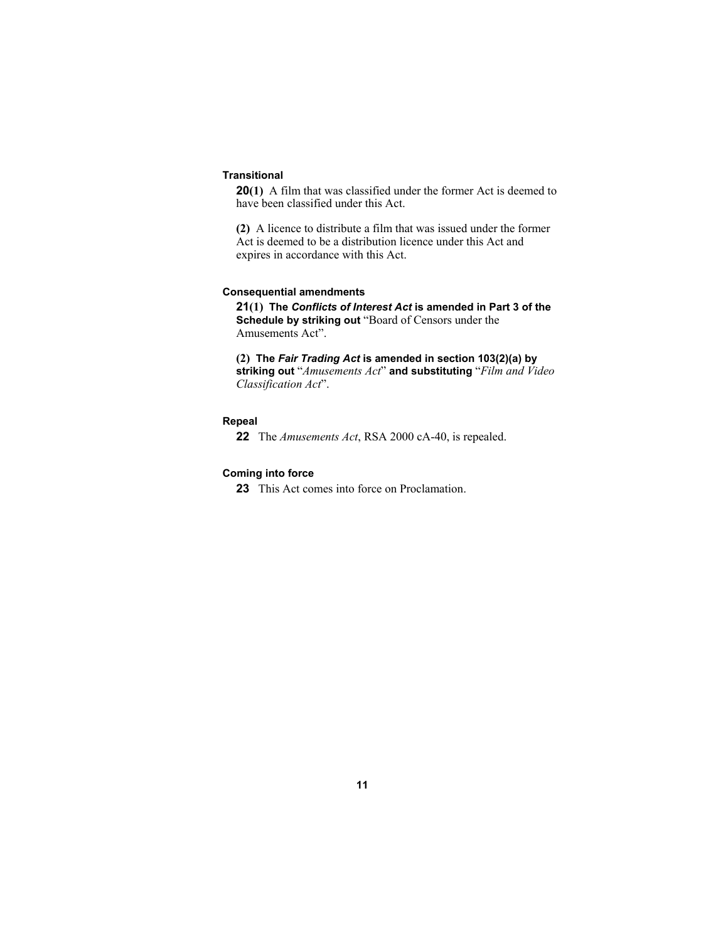# **Transitional**

**20(1)** A film that was classified under the former Act is deemed to have been classified under this Act.

**(2)** A licence to distribute a film that was issued under the former Act is deemed to be a distribution licence under this Act and expires in accordance with this Act.

#### **Consequential amendments**

**21(1) The** *Conflicts of Interest Act* **is amended in Part 3 of the Schedule by striking out** "Board of Censors under the Amusements Act".

**(2) The** *Fair Trading Act* **is amended in section 103(2)(a) by striking out** "*Amusements Act*" **and substituting** "*Film and Video Classification Act*".

# **Repeal**

**22** The *Amusements Act*, RSA 2000 cA-40, is repealed.

#### **Coming into force**

**23** This Act comes into force on Proclamation.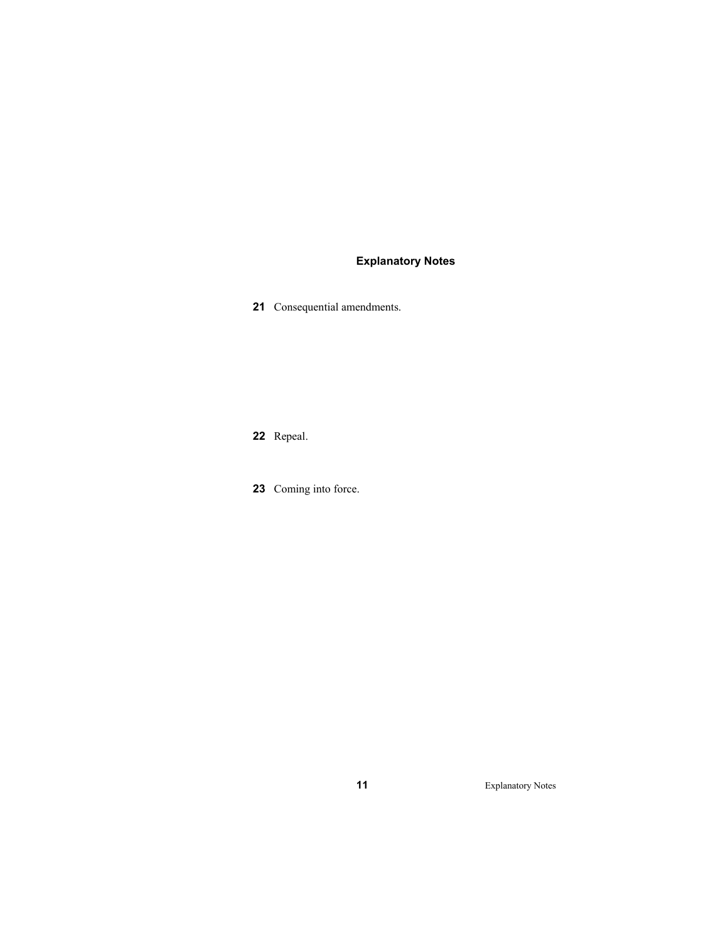# **Explanatory Notes**

Consequential amendments.

Repeal.

Coming into force.

Explanatory Notes